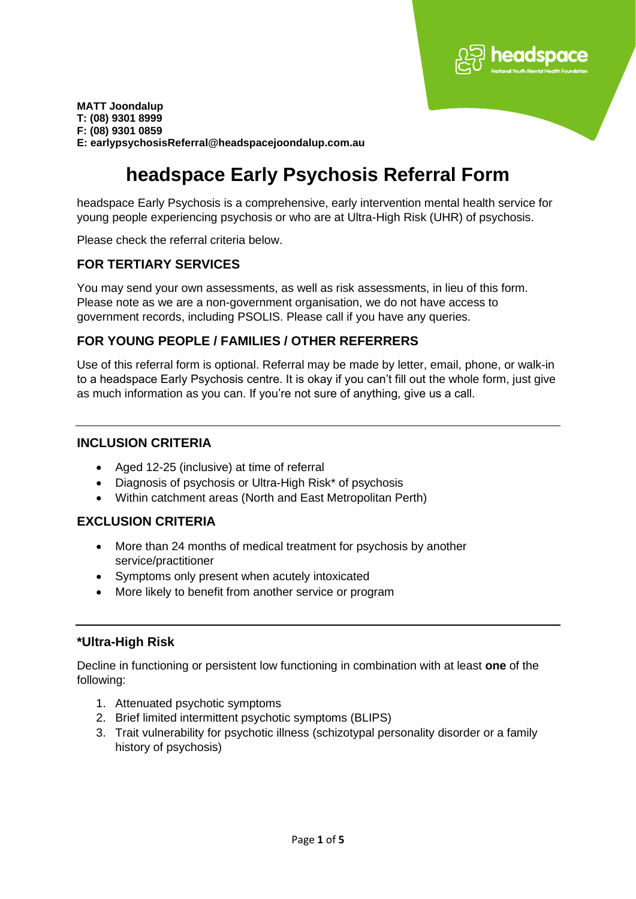

# **headspace Early Psychosis Referral Form**

headspace Early Psychosis is a comprehensive, early intervention mental health service for young people experiencing psychosis or who are at Ultra-High Risk (UHR) of psychosis.

Please check the referral criteria below.

#### **FOR TERTIARY SERVICES**

You may send your own assessments, as well as risk assessments, in lieu of this form. Please note as we are a non-government organisation, we do not have access to government records, including PSOLIS. Please call if you have any queries.

### **FOR YOUNG PEOPLE / FAMILIES / OTHER REFERRERS**

Use of this referral form is optional. Referral may be made by letter, email, phone, or walk-in to a headspace Early Psychosis centre. It is okay if you can't fill out the whole form, just give as much information as you can. If you're not sure of anything, give us a call.

### **INCLUSION CRITERIA**

- Aged 12-25 (inclusive) at time of referral
- Diagnosis of psychosis or Ultra-High Risk\* of psychosis
- Within catchment areas (North and East Metropolitan Perth)

#### **EXCLUSION CRITERIA**

- More than 24 months of medical treatment for psychosis by another service/practitioner
- Symptoms only present when acutely intoxicated
- More likely to benefit from another service or program

## **\*Ultra-High Risk**

Decline in functioning or persistent low functioning in combination with at least **one** of the following:

- 1. Attenuated psychotic symptoms
- 2. Brief limited intermittent psychotic symptoms (BLIPS)
- 3. Trait vulnerability for psychotic illness (schizotypal personality disorder or a family history of psychosis)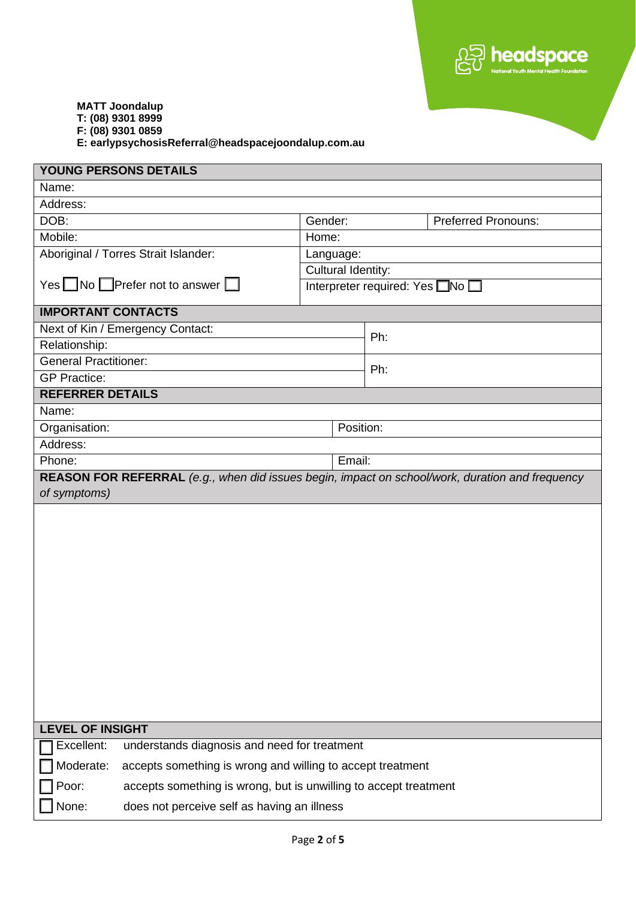

| YOUNG PERSONS DETAILS                                                                                           |                                                                  |                    |                                |                            |  |  |
|-----------------------------------------------------------------------------------------------------------------|------------------------------------------------------------------|--------------------|--------------------------------|----------------------------|--|--|
| Name:                                                                                                           |                                                                  |                    |                                |                            |  |  |
| Address:                                                                                                        |                                                                  |                    |                                |                            |  |  |
| DOB:                                                                                                            |                                                                  | Gender:            |                                | <b>Preferred Pronouns:</b> |  |  |
| Mobile:                                                                                                         |                                                                  | Home:              |                                |                            |  |  |
|                                                                                                                 | Aboriginal / Torres Strait Islander:                             | Language:          |                                |                            |  |  |
|                                                                                                                 |                                                                  | Cultural Identity: |                                |                            |  |  |
| Yes $\Box$ No $\Box$ Prefer not to answer $\Box$                                                                |                                                                  |                    | Interpreter required: Yes No [ |                            |  |  |
| <b>IMPORTANT CONTACTS</b>                                                                                       |                                                                  |                    |                                |                            |  |  |
|                                                                                                                 | Next of Kin / Emergency Contact:                                 |                    | Ph:                            |                            |  |  |
| Relationship:                                                                                                   |                                                                  |                    |                                |                            |  |  |
| <b>General Practitioner:</b>                                                                                    |                                                                  |                    | Ph:                            |                            |  |  |
| <b>GP Practice:</b>                                                                                             |                                                                  |                    |                                |                            |  |  |
| <b>REFERRER DETAILS</b>                                                                                         |                                                                  |                    |                                |                            |  |  |
| Name:                                                                                                           |                                                                  |                    |                                |                            |  |  |
| Organisation:                                                                                                   |                                                                  |                    | Position:                      |                            |  |  |
| Address:                                                                                                        |                                                                  |                    |                                |                            |  |  |
| Phone:                                                                                                          |                                                                  | Email:             |                                |                            |  |  |
| REASON FOR REFERRAL (e.g., when did issues begin, impact on school/work, duration and frequency<br>of symptoms) |                                                                  |                    |                                |                            |  |  |
|                                                                                                                 |                                                                  |                    |                                |                            |  |  |
| <b>LEVEL OF INSIGHT</b>                                                                                         |                                                                  |                    |                                |                            |  |  |
| Excellent:                                                                                                      | understands diagnosis and need for treatment                     |                    |                                |                            |  |  |
| Moderate:                                                                                                       | accepts something is wrong and willing to accept treatment       |                    |                                |                            |  |  |
| Poor:                                                                                                           | accepts something is wrong, but is unwilling to accept treatment |                    |                                |                            |  |  |
| None:                                                                                                           | does not perceive self as having an illness                      |                    |                                |                            |  |  |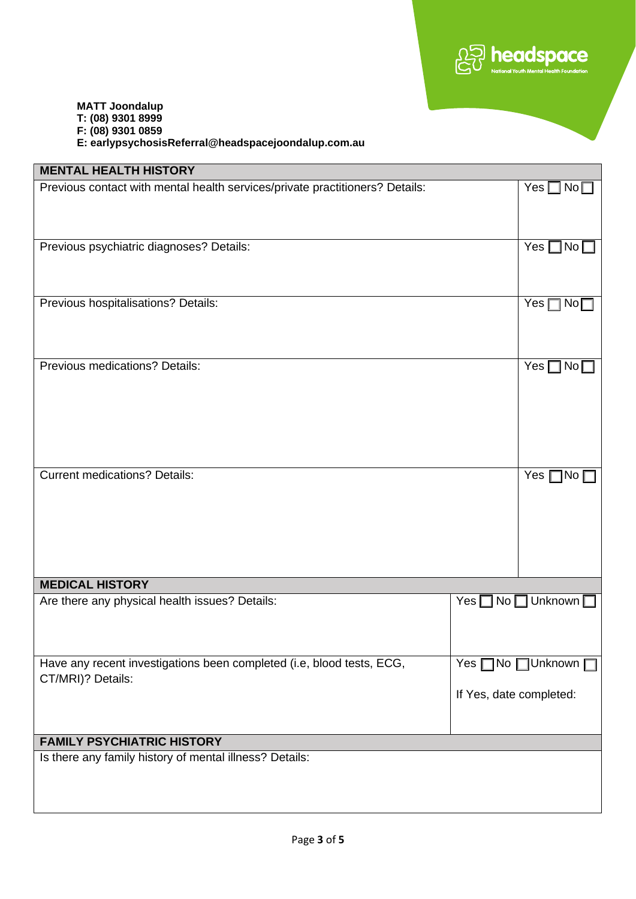

| <b>MENTAL HEALTH HISTORY</b>                                                 |                         |                                     |
|------------------------------------------------------------------------------|-------------------------|-------------------------------------|
| Previous contact with mental health services/private practitioners? Details: | $Yes \Box No \Box$      |                                     |
|                                                                              |                         |                                     |
|                                                                              |                         |                                     |
| Previous psychiatric diagnoses? Details:                                     |                         | Yes $\Box$ No $\Box$                |
|                                                                              |                         |                                     |
|                                                                              |                         |                                     |
| Previous hospitalisations? Details:                                          |                         | Yes $\Box$ No $\Box$                |
|                                                                              |                         |                                     |
|                                                                              |                         |                                     |
| Previous medications? Details:                                               |                         | Yes $\Box$ No $\Box$                |
|                                                                              |                         |                                     |
|                                                                              |                         |                                     |
|                                                                              |                         |                                     |
|                                                                              |                         |                                     |
|                                                                              |                         |                                     |
| <b>Current medications? Details:</b>                                         |                         | Yes $\square$ No $\square$          |
|                                                                              |                         |                                     |
|                                                                              |                         |                                     |
|                                                                              |                         |                                     |
|                                                                              |                         |                                     |
|                                                                              |                         |                                     |
| <b>MEDICAL HISTORY</b>                                                       |                         |                                     |
| Are there any physical health issues? Details:                               |                         | Yes $\Box$ No $\Box$ Unknown $\Box$ |
|                                                                              |                         |                                     |
|                                                                              |                         |                                     |
| Have any recent investigations been completed (i.e, blood tests, ECG,        |                         | Yes □No □Unknown □                  |
| CT/MRI)? Details:                                                            |                         |                                     |
|                                                                              | If Yes, date completed: |                                     |
|                                                                              |                         |                                     |
| <b>FAMILY PSYCHIATRIC HISTORY</b>                                            |                         |                                     |
| Is there any family history of mental illness? Details:                      |                         |                                     |
|                                                                              |                         |                                     |
|                                                                              |                         |                                     |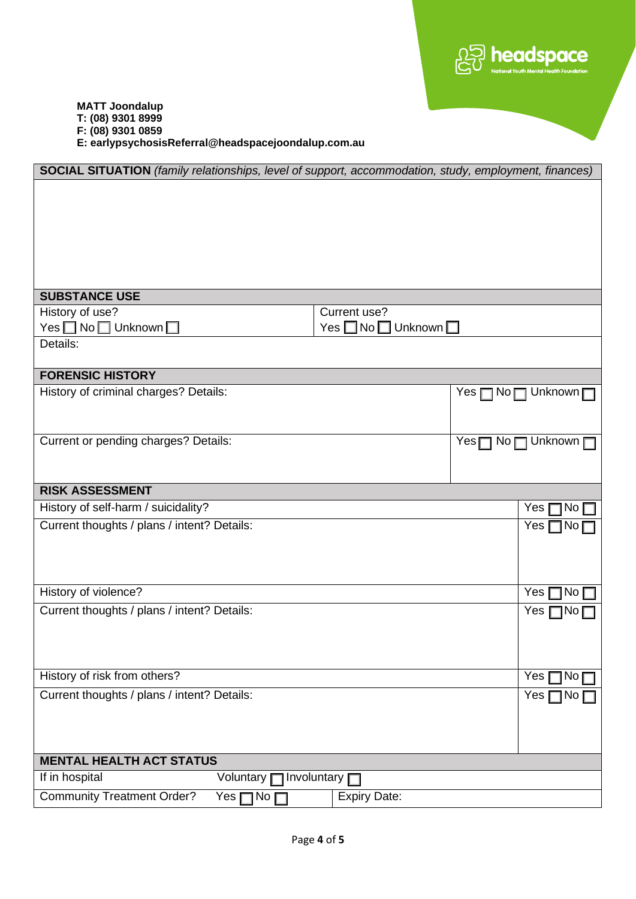

| SOCIAL SITUATION (family relationships, level of support, accommodation, study, employment, finances) |                                     |                                     |  |  |  |
|-------------------------------------------------------------------------------------------------------|-------------------------------------|-------------------------------------|--|--|--|
|                                                                                                       |                                     |                                     |  |  |  |
|                                                                                                       |                                     |                                     |  |  |  |
|                                                                                                       |                                     |                                     |  |  |  |
|                                                                                                       |                                     |                                     |  |  |  |
|                                                                                                       |                                     |                                     |  |  |  |
|                                                                                                       |                                     |                                     |  |  |  |
| <b>SUBSTANCE USE</b>                                                                                  |                                     |                                     |  |  |  |
| History of use?                                                                                       | Current use?                        |                                     |  |  |  |
| Yes No Unknown                                                                                        | Yes $\Box$ No $\Box$ Unknown $\Box$ |                                     |  |  |  |
| Details:                                                                                              |                                     |                                     |  |  |  |
| <b>FORENSIC HISTORY</b>                                                                               |                                     |                                     |  |  |  |
| History of criminal charges? Details:                                                                 |                                     | Yes □ No□ Unknown□                  |  |  |  |
|                                                                                                       |                                     |                                     |  |  |  |
|                                                                                                       |                                     |                                     |  |  |  |
| Current or pending charges? Details:                                                                  |                                     | Yes□ No□ Unknown □                  |  |  |  |
|                                                                                                       |                                     |                                     |  |  |  |
| <b>RISK ASSESSMENT</b>                                                                                |                                     |                                     |  |  |  |
| History of self-harm / suicidality?                                                                   |                                     | Yes<br>No [                         |  |  |  |
| Current thoughts / plans / intent? Details:                                                           |                                     | Yes <sub>l</sub><br>$N$ o $\square$ |  |  |  |
|                                                                                                       |                                     |                                     |  |  |  |
|                                                                                                       |                                     |                                     |  |  |  |
|                                                                                                       |                                     |                                     |  |  |  |
| History of violence?                                                                                  |                                     | Yes<br>No                           |  |  |  |
| Current thoughts / plans / intent? Details:                                                           |                                     | Yes<br>1No.                         |  |  |  |
|                                                                                                       |                                     |                                     |  |  |  |
|                                                                                                       |                                     |                                     |  |  |  |
|                                                                                                       |                                     |                                     |  |  |  |
| History of risk from others?                                                                          |                                     | Yes<br>No <sub>1</sub>              |  |  |  |
| Current thoughts / plans / intent? Details:                                                           |                                     | Yes<br>$\overline{\mathsf{No}}$     |  |  |  |
|                                                                                                       |                                     |                                     |  |  |  |
|                                                                                                       |                                     |                                     |  |  |  |
|                                                                                                       |                                     |                                     |  |  |  |
| <b>MENTAL HEALTH ACT STATUS</b><br>] Involuntary [                                                    |                                     |                                     |  |  |  |
| If in hospital<br>Voluntary                                                                           |                                     |                                     |  |  |  |
| Community Treatment Order?<br>1No<br>Yes [                                                            | <b>Expiry Date:</b>                 |                                     |  |  |  |